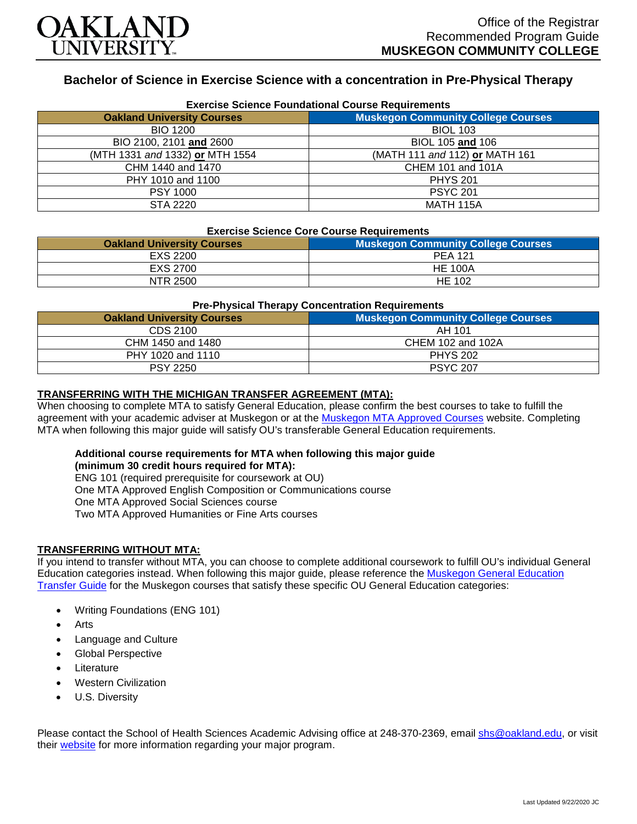

# **Bachelor of Science in Exercise Science with a concentration in Pre-Physical Therapy**

| <b>Exercise Science Foundational Course Requirements</b> |                                           |  |
|----------------------------------------------------------|-------------------------------------------|--|
| <b>Oakland University Courses</b>                        | <b>Muskegon Community College Courses</b> |  |
| <b>BIO 1200</b>                                          | <b>BIOL 103</b>                           |  |
| BIO 2100, 2101 and 2600                                  | BIOL 105 and 106                          |  |
| (MTH 1331 and 1332) or MTH 1554                          | (MATH 111 and 112) or MATH 161            |  |
| CHM 1440 and 1470                                        | CHEM 101 and 101A                         |  |
| PHY 1010 and 1100                                        | <b>PHYS 201</b>                           |  |
| <b>PSY 1000</b>                                          | <b>PSYC 201</b>                           |  |
| STA 2220                                                 | <b>MATH 115A</b>                          |  |

#### **Exercise Science Core Course Requirements**

| <b>Oakland University Courses</b> | <b>Muskegon Community College Courses</b> |
|-----------------------------------|-------------------------------------------|
| EXS 2200                          | <b>PEA 121</b>                            |
| EXS 2700                          | <b>HE 100A</b>                            |
| NTR 2500                          | <b>HE 102</b>                             |

#### **Pre-Physical Therapy Concentration Requirements**

| <b>Oakland University Courses</b> | <b>Muskegon Community College Courses</b> |
|-----------------------------------|-------------------------------------------|
| CDS 2100                          | AH 101                                    |
| CHM 1450 and 1480                 | CHEM 102 and 102A                         |
| PHY 1020 and 1110                 | <b>PHYS 202</b>                           |
| <b>PSY 2250</b>                   | <b>PSYC 207</b>                           |

### **TRANSFERRING WITH THE MICHIGAN TRANSFER AGREEMENT (MTA):**

When choosing to complete MTA to satisfy General Education, please confirm the best courses to take to fulfill the agreement with your academic adviser at Muskegon or at the [Muskegon MTA Approved Courses](https://www.muskegoncc.edu/transferservices/michigan-transfer-agreement/) website. Completing MTA when following this major guide will satisfy OU's transferable General Education requirements.

# **Additional course requirements for MTA when following this major guide**

**(minimum 30 credit hours required for MTA):**

ENG 101 (required prerequisite for coursework at OU)

One MTA Approved English Composition or Communications course

One MTA Approved Social Sciences course

Two MTA Approved Humanities or Fine Arts courses

### **TRANSFERRING WITHOUT MTA:**

If you intend to transfer without MTA, you can choose to complete additional coursework to fulfill OU's individual General Education categories instead. When following this major guide, please reference the [Muskegon General Education](https://www.oakland.edu/Assets/Oakland/program-guides/muskegon-community-college/university-general-education-requirements/Muskegon%20Gen%20Ed.pdf)  [Transfer Guide](https://www.oakland.edu/Assets/Oakland/program-guides/muskegon-community-college/university-general-education-requirements/Muskegon%20Gen%20Ed.pdf) for the Muskegon courses that satisfy these specific OU General Education categories:

- Writing Foundations (ENG 101)
- **Arts**
- Language and Culture
- Global Perspective
- **Literature**
- Western Civilization
- U.S. Diversity

Please contact the School of Health Sciences Academic Advising office at 248-370-2369, email [shs@oakland.edu,](mailto:shs@oakland.edu) or visit their [website](http://www.oakland.edu/shs/advising) for more information regarding your major program.